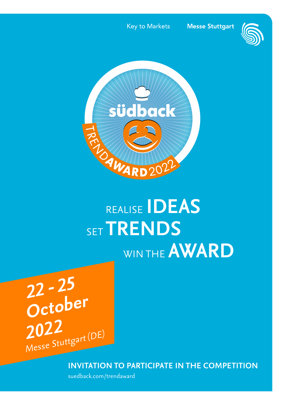Key to Markets

**Messe Stuttgart** 





# SET **TRENDS**WIN THE **AWARD**

 **22 - <sup>25</sup> October 2022** Messe Stuttgart (DE)

**INVITATION TO PARTICIPATE IN THE COMPETITION**

suedback.com/trendaward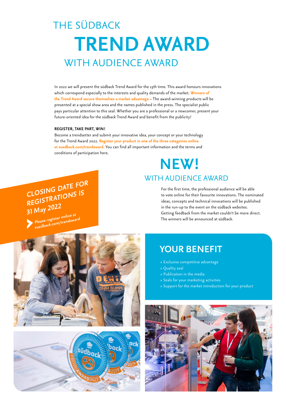# THE SÜDBACK  **TREND AWARD**WITH AUDIENCE AWARD

In 2022 we will present the südback Trend Award for the 13th time. This award honours innovations which correspond especially to the interests and quality demands of the market. **Winners of the Trend Award secure themselves a market advantage** – The award-winning products will be presented at a special show area and the names published in the press. The specialist public pays particular attention to this seal. Whether you are a professional or a newcomer, present your future-oriented idea for the südback Trend Award and benefit from the publicity!

#### **REGISTER, TAKE PART, WIN!**

 **CLOSING DATE FOR REGISTRATIONS IS**

 **31 May 2022**

Become a trendsetter and submit your innovative idea, your concept or your technology for the Trend Award 2022. **Register your product in one of the three categories online at suedback.com/trendaward**. You can find all important information and the terms and conditions of participation here.

## **NEW!**  WITH AUDIENCE AWARD

For the first time, the professional audience will be able to vote online for their favourite innovations. The nominated ideas, concepts and technical innovations will be published in the run-up to the event on the südback websites. Getting feedback from the market couldn't be more direct. The winners will be announced at südback.





### **YOUR BENEFIT**

- **›** Exclusive competitive advantage
- **›** Quality seal
- **›** Publication in the media
- **›** Seals for your marketing activities
- **›** Support for the market introduction for your product

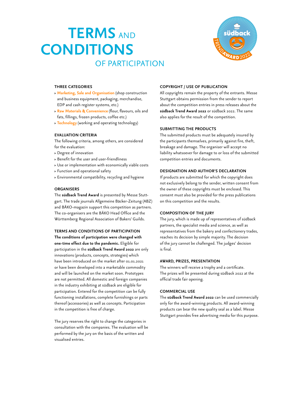# **TERMS** AND **CONDITIONS**  OF PARTICIPATION



#### **THREE CATEGORIES**

- **› Marketing, Sale and Organisation** (shop construction and business equipment, packaging, merchandise, EDP and cash register systems, etc.)
- **› Raw Materials & Convenience** (flour, flavours, oils and fats, fillings, frozen products, coffee etc.)
- **› Technology** (working and operating technology)

#### **EVALUATION CRITERIA**

The following criteria, among others, are considered for the evaluation:

- **›** Degree of innovation
- **›** Benefit for the user and user-friendliness
- **›** Use or implementation with economically viable costs
- **›** Function and operational safety
- **›** Environmental compatibility, recycling and hygiene

#### **ORGANISERS**

The **südback Trend Award** is presented by Messe Stuttgart. The trade journals Allgemeine Bäcker-Zeitung (ABZ) and BÄKO-magazin support this competition as partners. The co-organisers are the BÄKO Head Office and the Württemberg Regional Association of Bakers' Guilds.

#### **TERMS AND CONDITIONS OF PARTICIPATION**

**The conditions of participation were changed with one-time effect due to the pandemic.** Eligible for participation in the **südback Trend Award 2022** are only innovations (products, concepts, strategies) which have been introduced on the market after 01.01.2021 or have been developed into a marketable commodity and will be launched on the market soon. Prototypes are not permitted. All domestic and foreign companies in the industry exhibiting at südback are eligible for participation. Entered for the competition can be fully functioning installations, complete furnishings or parts thereof (accessories) as well as concepts. Participation in the competition is free of charge.

The jury reserves the right to change the categories in consultation with the companies. The evaluation will be performed by the jury on the basis of the written and visualised entries.

#### **COPYRIGHT / USE OF PUBLICATION**

All copyrights remain the property of the entrants. Messe Stuttgart obtains permission from the sender to report about the competition entries in press releases about the **südback Trend Award 2022** or südback 2022. The same also applies for the result of the competition.

#### **SUBMITTING THE PRODUCTS**

The submitted products must be adequately insured by the participants themselves, primarily against fire, theft, breakage and damage. The organiser will accept no liability whatsoever for damage to or loss of the submitted competition entries and documents.

#### **DESIGNATION AND AUTHOR'S DECLARATION**

If products are submitted for which the copyright does not exclusively belong to the sender, written consent from the owner of these copyrights must be enclosed. This consent must also be provided for the press publications on this competition and the results.

#### **COMPOSITION OF THE JURY**

The jury, which is made up of representatives of südback partners, the specialist media and science, as well as representatives from the bakery and confectionery trades, reaches its decision by simple majority. The decision of the jury cannot be challenged. The judges' decision is final.

#### **AWARD, PRIZES, PRESENTATION**

The winners will receive a trophy and a certificate. The prizes will be presented during südback 2022 at the official trade fair opening.

#### **COMMERCIAL USE**

The **südback Trend Award 2022** can be used commercially only for the award-winning products. All award-winning products can bear the new quality seal as a label. Messe Stuttgart provides free advertising media for this purpose.